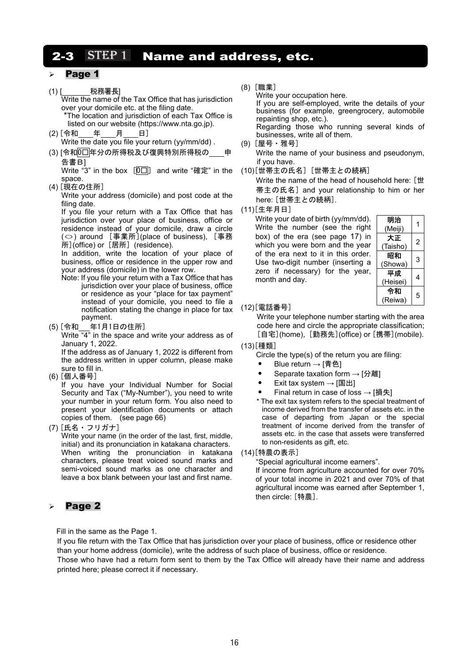# 2-3  $STEP1$  Name and address, etc.

### Page 1

(1) [ 税務署長] Write the name of the Tax Office that has jurisdiction over your domicile etc. at the filing date. \*The location and jurisdiction of each Tax Office is

listed on our website (https://www.nta.go.jp).

- (2) [令和\_\_\_\_年\_\_\_\_月 日] Write the date you file your return (yy/mm/dd) .
- (3) [令和0□年分の所得税及び復興特別所得税の 申 告書B]

Write "3" in the box  $[0\Box]$  and write "確定" in the space.

(4) [現在の住所]

Write your address (domicile) and post code at the filing date.

If you file your return with a Tax Office that has jurisdiction over your place of business, office or residence instead of your domicile, draw a circle (○) around [事業所](place of business), [事務 所](office) or [居所] (residence).

In addition, write the location of your place of business, office or residence in the upper row and your address (domicile) in the lower row.

- Note: If you file your return with a Tax Office that has jurisdiction over your place of business, office or residence as your "place for tax payment" instead of your domicile, you need to file a notification stating the change in place for tax payment.
- (5) [令和 年1月1日の住所]

Write "4" in the space and write your address as of January 1, 2022.

If the address as of January 1, 2022 is different from the address written in upper column, please make sure to fill in.

(6) [個人番号]

If you have your Individual Number for Social Security and Tax ("My-Number"), you need to write your number in your return form. You also need to present your identification documents or attach copies of them. (see page 66)

(7) [氏名・フリガナ]

Write your name (in the order of the last, first, middle, initial) and its pronunciation in katakana characters. When writing the pronunciation in katakana characters, please treat voiced sound marks and semi-voiced sound marks as one character and leave a box blank between your last and first name.

## Page 2

Fill in the same as the Page 1.

(8) [職業]

Write your occupation here.

If you are self-employed, write the details of your business (for example, greengrocery, automobile repainting shop, etc.). Regarding those who running several kinds of

- businesses, write all of them. (9) [屋号・雅号] Write the name of your business and pseudonym, if you have.
- (10)[世帯主の氏名] [世帯主との続柄]

Write the name of the head of household here: [世 帯主の氏名] and your relationship to him or her here: [世帯主との続柄].

(11)[生年月日]

Write your date of birth (yy/mm/dd). Write the number (see the right box) of the era (see page 17) in which you were born and the year of the era next to it in this order. Use two-digit number (inserting a zero if necessary) for the year, month and day.

| 明治<br>(Meiji)  |   |
|----------------|---|
| 大正<br>(Taisho) | 2 |
| 昭和<br>(Showa)  | 3 |
| 平成<br>(Heisei) | 4 |
| 令和<br>(Reiwa)  | 5 |

#### (12)[電話番号]

Write your telephone number starting with the area code here and circle the appropriate classification; [自宅](home), [勤務先](office) or [携帯](mobile).

- (13)[種類]
	- Circle the type(s) of the return you are filing:
	- Blue return  $\rightarrow$  [青色]
	- Separate taxation form → [分離]
	- Exit tax system  $\rightarrow$  [国出]
	- Final return in case of loss  $→$  [損失]
	- \* The exit tax system refers to the special treatment of income derived from the transfer of assets etc. in the case of departing from Japan or the special treatment of income derived from the transfer of assets etc. in the case that assets were transferred to non-residents as gift, etc.
- (14)[特農の表示]

"Special agricultural income earners".

If income from agriculture accounted for over 70% of your total income in 2021 and over 70% of that agricultural income was earned after September 1, then circle: [特農].

If you file return with the Tax Office that has jurisdiction over your place of business, office or residence other than your home address (domicile), write the address of such place of business, office or residence. Those who have had a return form sent to them by the Tax Office will already have their name and address printed here; please correct it if necessary.